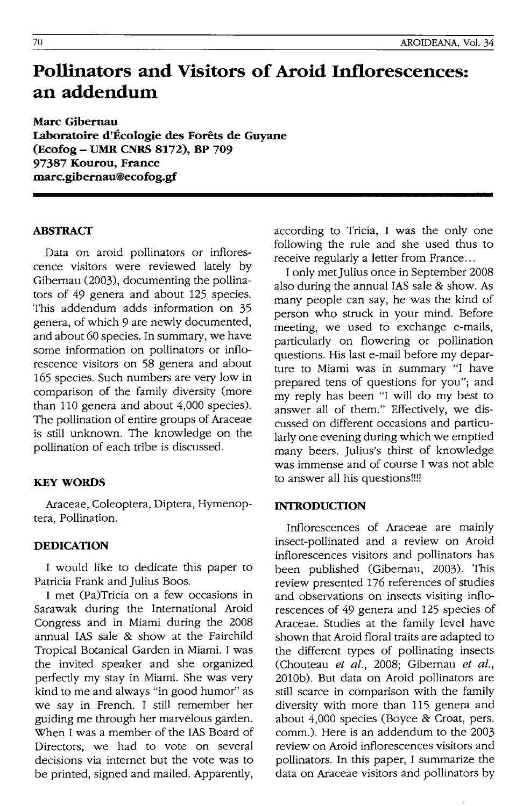# **Pollinators and Visitors of Aroid Inflorescences: an addendum**

**Marc Gibemau Laboratoire d'Ecologie des Forets de Guyane (Ecofog - UMR CNRS 8172), BP 709**  97387 Kourou, France **marc.gibemau@ecofog.gf** 

#### **ABSTRACf**

Data on aroid pollinators or inflorescence visitors were reviewed lately by Gibernau (2003), documenting the pollinators of 49 genera and about 125 species. This addendum adds information on 35 genera, of which 9 are newly documented, and about 60 species. In summary, we have some information on pollinators or inflorescence visitors on 58 genera and about 165 species. Such numbers are very low in comparison of the family diversity (more than 110 genera and about 4,000 species). The pollination of entire groups of Araceae is still unknown. The knowledge on the pollination of each tribe is discussed.

# **KEY WORDS**

Araceae, Coleoptera, Diptera, Hymenoptera, Pollination.

#### **DEDICATION**

I would like to dedicate this paper to Patricia Frank and Julius Boos.

I met (Pa)Tricia on a few occasions in Sarawak during the International Aroid Congress and in Miami during the 2008 annual lAS sale & show at the Fairchild Tropical Botanical Garden in Miami. I was the invited speaker and she organized perfectly my stay in Miami. She was very kind to me and always "in good humor" as we say in French. I still remember her guiding me through her marvelous garden. When I was a member of the lAS Board of Directors, we had to vote on several decisions via internet but the vote was to be printed, signed and mailed. Apparently, according to Tricia, I was the only one following the rule and she used thus to receive regularly a letter from France...

I only met Julius once in September 2008 also during the annual lAS sale & show. As many people can say, he was the kind of person who struck in your mind. Before meeting, we used to exchange e-mails, particularly on flowering or pollination questions. His last e-mail before my departure to Miami was in summary "I have prepared tens of questions for you"; and my reply has been "I will do my best to answer all of them." Effectively, we discussed on different occasions and particularly one evening during which we emptied many beers. Julius's thirst of knowledge was immense and of course I was not able to answer all his questions!!!!

#### **INTRODUCflON**

Inflorescences of Araceae are mainly insect-pollinated and a review on Aroid inflorescences visitors and pollinators has been published (Gibernau, 2003). This review presented 176 references of studies and observations on insects visiting inflorescences of 49 genera and 125 species of Araceae. Studies at the family level have shown that Aroid floral traits are adapted to the different types of pollinating insects (Chouteau *et at.,* 2008; Gibernau *et at.,*  2010b). But data on Aroid pollinators are still scarce in comparison with the family diversity with more than 115 genera and about 4,000 species (Boyce & Croat, pers. comm.). Here is an addendum to the 2003 review on Aroid inflorescences visitors and pollinators. In this paper, I summarize the data on Araceae visitors and pollinators by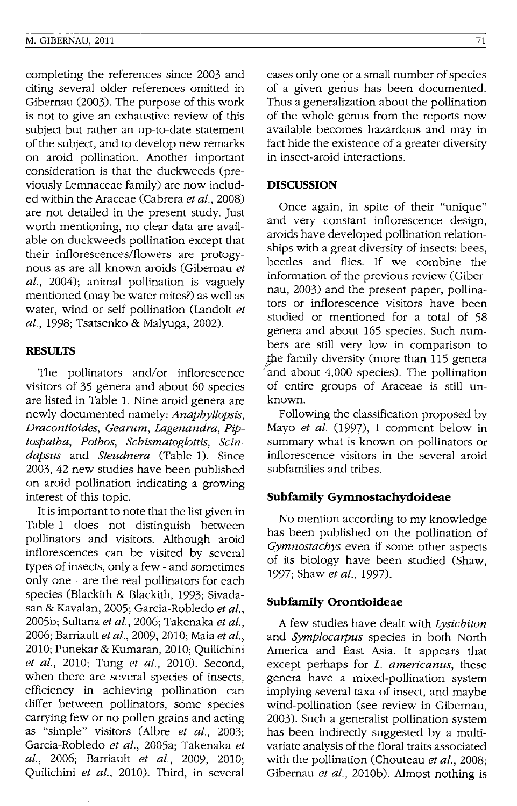completing the references since 2003 and citing several older references omitted in Gibernau (2003). The purpose of this work is not to give an exhaustive review of this subject but rather an up-to-date statement of the subject, and to develop new remarks on aroid pollination. Another important consideration is that the duckweeds (previously Lemnaceae family) are now included within the Araceae (Cabrera *et al., 2008)*  are not detailed in the present study. Just worth mentioning, no clear data are available on duckweeds pollination except that their inflorescences/flowers are protogynous as are all known aroids (Gibernau *et at.,* 2004); animal pollination is vaguely mentioned (may be water mites?) as well as water, wind or self pollination (Landolt *et at.,* 1998; Tsatsenko & Malyuga, 2002).

# **RESULTS**

The pollinators and/or inflorescence visitors of 35 genera and about 60 species are listed in Table 1. Nine aroid genera are newly documented namely: *Anaphyllopsis, Dracontioides, Gearum, Lagenandra, Piptospatha, Pothos, Schismatoglottis, Scindapsus* and *Steudnera* (Table 1). Since 2003, 42 new studies have been published on aroid pollination indicating a growing interest of this topic.

It is important to note that the list given in Table 1 does not distinguish between pollinators and visitors. Although aroid inflorescences can be visited by several types of insects, only a few - and sometimes only one - are the real pollinators for each species (Blackith & Blackith, 1993; Sivadasan & Kavalan, 2005; Garcia-Robledo *et at.,*  2005b; Sultana *et at.,* 2006; Takenaka *et at.,*  2006; Barriault *et at.,* 2009, 2010; Maia *et at.,*  2010; Punekar & Kumaran, 2010; Quilichini *et al.,* 2010; Tung *et al.,* 2010). Second, when there are several species of insects, efficiency in achieving pollination can differ between pollinators, some species carrying few or no pollen grains and acting as "simple" visitors (Albre *et at., 2003;*  Garcia-Robledo *et al.,* 2005a; Takenaka *et al.,* 2006; Barriault *et at.,* 2009, 2010; Quilichini *et al.,* 2010). Third, in several

cases only one or a small number of species of a given genus has been documented. Thus a generalization about the pollination of the whole genus from the reports now available becomes hazardous and may in fact hide the existence of a greater diversity in insect-aroid interactions.

#### **DISCUSSION**

Once again, in spite of their "unique" and very constant inflorescence design, aroids have developed pollination relationships with a great diversity of insects: bees, beetles and flies. If we combine the information of the previous review (Gibernau, 2003) and the present paper, pollinators or inflorescence visitors have been studied or mentioned for a total of 58 genera and about 165 species. Such numbers are still very low in comparison to the family diversity (more than 115 genera and about 4,000 species). The pollination of entire groups of Araceae is still unknown.

Following the classification proposed by Mayo *et at.* (1997), I comment below in summary what is known on pollinators or inflorescence visitors in the several aroid subfamilies and tribes.

#### **SubfamUy Gymnostachydoideae**

No mention according to my knowledge has been published on the pollination of *Gymnostachys* even if some other aspects of its biology have been studied (Shaw, 1997; Shaw *et al.,* 1997).

#### **SubfamUy Orontioideae**

A few studies have dealt with *Lysichiton*  and *Symplocarpus* species in both North America and East Asia. It appears that except perhaps for *L. americanus,* these genera have a mixed-pollination system implying several taxa of insect, and maybe wind-pollination (see review in Gibernau, 2003). Such a generalist pollination system has been indirectly suggested by a multivariate analysis of the floral traits associated with the pollination (Chouteau *et at., 2008;*  Gibernau *et al.,* 2010b). Almost nothing is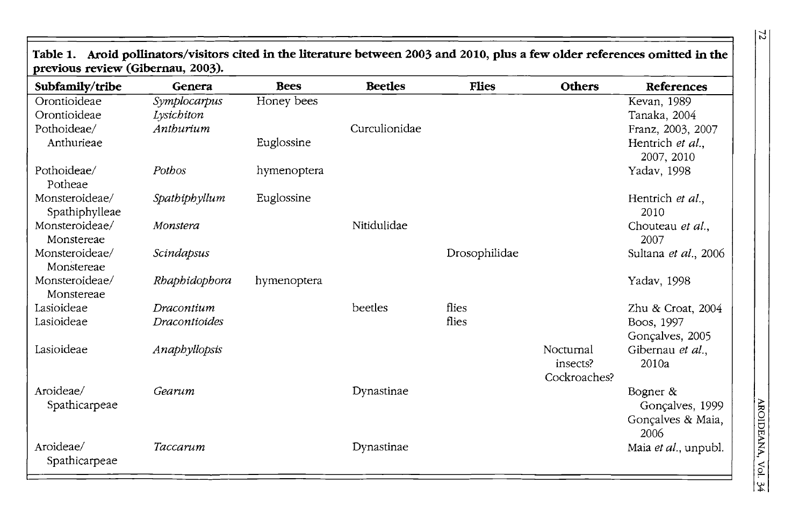| $pre$ vious review (Giberilau, $2003$ ). |               |             |                |               |               |                      |  |  |
|------------------------------------------|---------------|-------------|----------------|---------------|---------------|----------------------|--|--|
| Subfamily/tribe                          | Genera        | <b>Bees</b> | <b>Beetles</b> | <b>Flies</b>  | <b>Others</b> | References           |  |  |
| Orontioideae                             | Symplocarpus  | Honey bees  |                |               |               | Kevan, 1989          |  |  |
| Orontioideae                             | Lysichiton    |             |                |               |               | Tanaka, 2004         |  |  |
| Pothoideae/                              | Anthurium     |             | Curculionidae  |               |               | Franz, 2003, 2007    |  |  |
| Anthurieae                               |               | Euglossine  |                |               |               | Hentrich et al.,     |  |  |
|                                          |               |             |                |               |               | 2007, 2010           |  |  |
| Pothoideae/                              | Pothos        | hymenoptera |                |               |               | Yadav, 1998          |  |  |
| Potheae                                  |               |             |                |               |               |                      |  |  |
| Monsteroideae/                           | Spathiphyllum | Euglossine  |                |               |               | Hentrich et al.,     |  |  |
| Spathiphylleae                           |               |             |                |               |               | 2010                 |  |  |
| Monsteroideae/                           | Monstera      |             | Nitidulidae    |               |               | Chouteau et al.,     |  |  |
| Monstereae                               |               |             |                |               |               | 2007                 |  |  |
| Monsteroideae/                           | Scindapsus    |             |                | Drosophilidae |               | Sultana et al., 2006 |  |  |
| Monstereae                               |               |             |                |               |               |                      |  |  |
| Monsteroideae/                           | Rhaphidophora | hymenoptera |                |               |               | Yadav, 1998          |  |  |
| Monstereae                               |               |             |                |               |               |                      |  |  |
| Lasioideae                               | Dracontium    |             | beetles        | flies         |               | Zhu & Croat, 2004    |  |  |
| Lasioideae                               | Dracontioides |             |                | flies         |               | Boos, 1997           |  |  |
|                                          |               |             |                |               |               | Gonçalves, 2005      |  |  |
| Lasioideae                               | Anaphyllopsis |             |                |               | Nocturnal     | Gibernau et al.,     |  |  |
|                                          |               |             |                |               | insects?      | 2010a                |  |  |
| Aroideae/                                | Gearum        |             |                |               | Cockroaches?  |                      |  |  |
|                                          |               |             | Dynastinae     |               |               | Bogner $\&$          |  |  |
| Spathicarpeae                            |               |             |                |               |               | Gonçalves, 1999      |  |  |
|                                          |               |             |                |               |               | Gonçalves & Maia,    |  |  |
| Aroideae/                                |               |             |                |               |               | 2006                 |  |  |
|                                          | Taccarum      |             | Dynastinae     |               |               | Maia et al., unpubl. |  |  |
| Spathicarpeae                            |               |             |                |               |               |                      |  |  |

**Table 1. Aroid pollinators/visitors cited in the literature between 2003 and 2010, plus a few older references omitted in the previous review (Gibernau, 2003).** 

 $\overline{z}$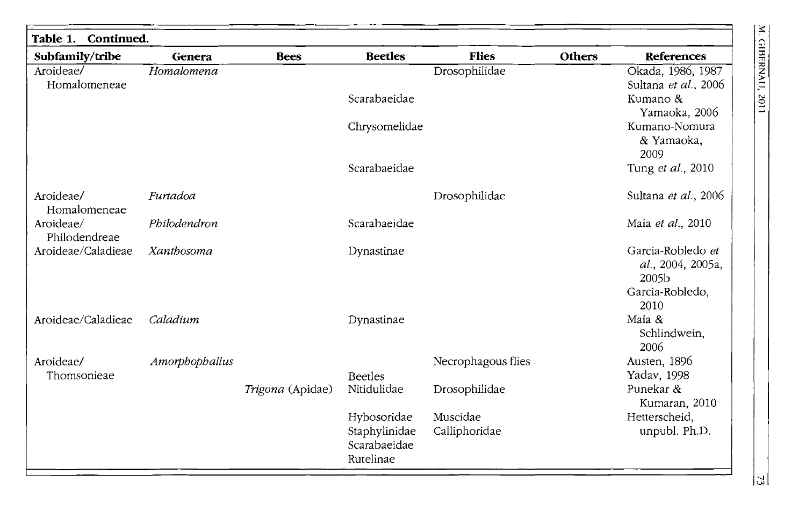| Subfamily/tribe            | Genera         | <b>Bees</b>      | <b>Beetles</b>                             | <b>Flies</b>       | Others | <b>References</b>                               |
|----------------------------|----------------|------------------|--------------------------------------------|--------------------|--------|-------------------------------------------------|
| Aroideae/<br>Homalomeneae  | Homalomena     |                  |                                            | Drosophilidae      |        | Okada, 1986, 1987<br>Sultana et al., 2006       |
|                            |                |                  | Scarabaeidae                               |                    |        | Kumano &<br>Yamaoka, 2006                       |
|                            |                |                  | Chrysomelidae                              |                    |        | Kumano-Nomura<br>& Yamaoka,<br>2009             |
|                            |                |                  | Scarabaeidae                               |                    |        | Tung et al., 2010                               |
| Aroideae/<br>Homalomeneae  | Furtadoa       |                  |                                            | Drosophilidae      |        | Sultana et al., 2006                            |
| Aroideae/<br>Philodendreae | Philodendron   |                  | Scarabaeidae                               |                    |        | Maia et al., 2010                               |
| Aroideae/Caladieae         | Xanthosoma     |                  | Dynastinae                                 |                    |        | Garcia-Robledo et<br>al., 2004, 2005a,<br>2005b |
|                            |                |                  |                                            |                    |        | Garcia-Robledo,<br>2010                         |
| Aroideae/Caladieae         | Caladium       |                  | Dynastinae                                 |                    |        | Maia &<br>Schlindwein,<br>2006                  |
| Aroideae/                  | Amorphophallus |                  |                                            | Necrophagous flies |        | Austen, 1896                                    |
| Thomsonieae                |                |                  | <b>Beetles</b>                             |                    |        | Yadav, 1998                                     |
|                            |                | Trigona (Apidae) | Nitidulidae                                | Drosophilidae      |        | Punekar &<br>Kumaran, 2010                      |
|                            |                |                  | Hybosoridae                                | Muscidae           |        | Hetterscheid,                                   |
|                            |                |                  | Staphylinidae<br>Scarabaeidae<br>Rutelinae | Calliphoridae      |        | unpubl. Ph.D.                                   |

 $|2$ 

M. GIBERNAU, 2011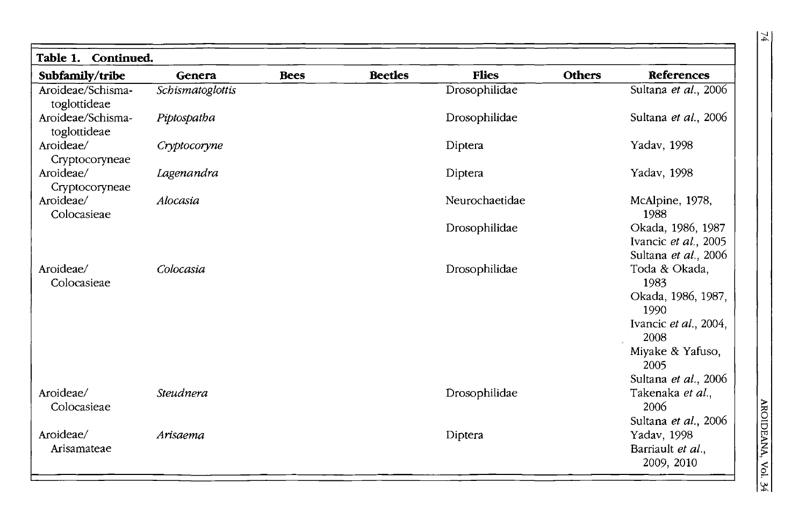| Table 1. Continued.               |                  |             |                |                |                                                                   |  |
|-----------------------------------|------------------|-------------|----------------|----------------|-------------------------------------------------------------------|--|
| Subfamily/tribe                   | Genera           | <b>Bees</b> | <b>Beetles</b> | <b>Flies</b>   | <b>Others</b><br><b>References</b>                                |  |
| Aroideae/Schisma-<br>toglottideae | Schismatoglottis |             |                | Drosophilidae  | Sultana et al., 2006                                              |  |
| Aroideae/Schisma-<br>toglottideae | Piptospatha      |             |                | Drosophilidae  | Sultana et al., 2006                                              |  |
| Aroideae/<br>Cryptocoryneae       | Cryptocoryne     |             |                | Diptera        | Yadav, 1998                                                       |  |
| Aroideae/<br>Cryptocoryneae       | Lagenandra       |             |                | Diptera        | Yadav, 1998                                                       |  |
| Aroideae/<br>Colocasieae          | Alocasia         |             |                | Neurochaetidae | McAlpine, 1978,<br>1988                                           |  |
|                                   |                  |             |                | Drosophilidae  | Okada, 1986, 1987<br>Ivancic et al., 2005<br>Sultana et al., 2006 |  |
| Aroideae/<br>Colocasieae          | Colocasia        |             |                | Drosophilidae  | Toda & Okada,<br>1983<br>Okada, 1986, 1987,                       |  |
|                                   |                  |             |                |                | 1990<br>Ivancic et al., 2004,<br>2008                             |  |
|                                   |                  |             |                |                | Miyake & Yafuso,<br>2005                                          |  |
|                                   |                  |             |                |                | Sultana et al., 2006                                              |  |
| Aroideae/<br>Colocasieae          | Steudnera        |             |                | Drosophilidae  | Takenaka et al.,<br>2006                                          |  |
|                                   |                  |             |                |                | Sultana et al., 2006                                              |  |
| Aroideae/                         | Arisaema         |             |                | Diptera        | Yadav, 1998                                                       |  |
| Arisamateae                       |                  |             |                |                | Barriault et al.,<br>2009, 2010                                   |  |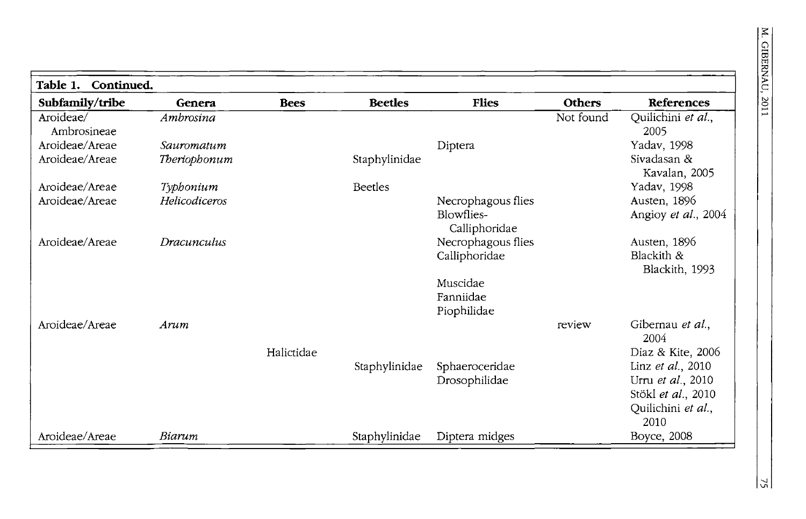| Continued.<br><b>Table 1.</b> |               |             |                |                                  |               |                                     |
|-------------------------------|---------------|-------------|----------------|----------------------------------|---------------|-------------------------------------|
| Subfamily/tribe               | Genera        | <b>Bees</b> | <b>Beetles</b> | <b>Flies</b>                     | <b>Others</b> | References                          |
| Aroideae/<br>Ambrosineae      | Ambrosina     |             |                |                                  | Not found     | Quilichini et al.,<br>2005          |
| Aroideae/Areae                | Sauromatum    |             |                | Diptera                          |               | Yadav, 1998                         |
| Aroideae/Areae                | Theriophonum  |             | Staphylinidae  |                                  |               | Sivadasan &<br>Kavalan, 2005        |
| Aroideae/Areae                | Typhonium     |             | <b>Beetles</b> |                                  |               | Yadav, 1998                         |
| Aroideae/Areae                | Helicodiceros |             |                | Necrophagous flies<br>Blowflies- |               | Austen, 1896<br>Angioy et al., 2004 |
|                               |               |             |                | Calliphoridae                    |               |                                     |
| Aroideae/Areae                | Dracunculus   |             |                | Necrophagous flies               |               | Austen, 1896                        |
|                               |               |             |                | Calliphoridae                    |               | Blackith &<br>Blackith, 1993        |
|                               |               |             |                | Muscidae                         |               |                                     |
|                               |               |             |                | Fanniidae                        |               |                                     |
|                               |               |             |                | Piophilidae                      |               |                                     |
| Aroideae/Areae                | Arum          |             |                |                                  | review        | Gibernau et al.,<br>2004            |
|                               |               | Halictidae  |                |                                  |               | Diaz & Kite, 2006                   |
|                               |               |             | Staphylinidae  | Sphaeroceridae                   |               | Linz et al., 2010                   |
|                               |               |             |                | Drosophilidae                    |               | Urru et al., 2010                   |
|                               |               |             |                |                                  |               | Stökl et al., 2010                  |
|                               |               |             |                |                                  |               | Quilichini et al.,<br>2010          |
| Aroideae/Areae                | Biarum        |             | Staphylinidae  | Diptera midges                   |               | Boyce, 2008                         |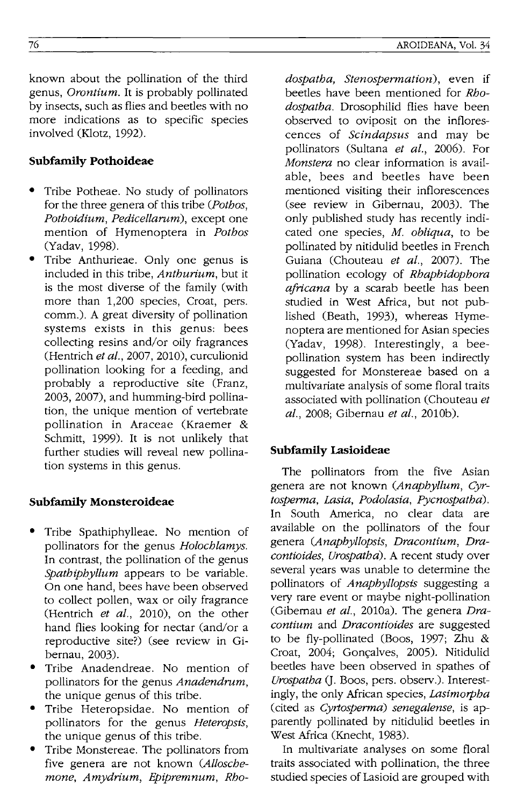known about the pollination of the third genus, *Orontium.* It is probably pollinated by insects, such as flies and beetles with no more indications as to specific species involved (Klotz, 1992).

### **Subfamily Pothoideae**

- Tribe Potheae. No study of pollinators for the three genera of this tribe *(Pothos, Pothoidium, Pedicellarum),* except one mention of Hymenoptera in *Pothos*  (Yadav, 1998).
- Tribe Anthurieae. Only one genus is included in this tribe, *Anthurium,* but it is the most diverse of the family (with more than 1,200 species, Croat, pers. comm.). A great diversity of pollination systems exists in this genus: bees collecting resins and/or oily fragrances (Hentrich *et at.,* 2007, 2010), curculionid pollination looking for a feeding, and probably a reproductive site (Franz, 2003, 2007), and humming-bird pollination, the unique mention of vertebrate pollination in Araceae (Kraemer & Schmitt, 1999). It is not unlikely that further studies will reveal new pollination systems in this genus.

#### **Subfamily Monsteroideae**

- Tribe Spathiphylleae. No mention of pollinators for the genus *Hotochtamys.*  **In** contrast, the pollination of the genus *Spathiphyllum* appears to be variable. On one hand, bees have been observed to collect pollen, wax or oily fragrance (Hentrich *et at.,* 2010), on the other hand flies looking for nectar (and/or a reproductive site?) (see review in Gibernau, 2003).
- Tribe Anadendreae. No mention of pollinators for the genus *Anadendrum,*  the unique genus of this tribe.
- Tribe Heteropsidae. No mention of pollinators for the genus *Heteropsis,*  the unique genus of this tribe.
- Tribe Monstereae. The pollinators from five genera are not known *(Alloschemone, Amydrium, Epipremnum, Rho-*

*dospatha, Stenospermation),* even if beetles have been mentioned for *Rhodospatha.* Drosophilid flies have been observed to oviposit on the inflorescences of *Scindapsus* and may be pollinators (Sultana *et at.,* 2006). For *Monstera* no clear information is available, bees and beetles have been mentioned visiting their inflorescences (see review in Gibernau, 2003). The only published study has recently indicated one species, *M. obliqua,* to be pollinated by nitidulid beetles in French Guiana (Chouteau *et at.,* 2007). The pollination ecology of *Rhaphidophora africana* by a scarab beetle has been studied in West Africa, but not published (Beath, 1993), whereas Hymenoptera are mentioned for Asian species (Yadav, 1998). Interestingly, a beepollination system has been indirectly suggested for Monstereae based on a multivariate analysis of some floral traits associated with pollination (Chouteau *et at.,* 2008; Gibernau *et at.,* 201Ob).

#### **Subfamily Lasioideae**

The pollinators from the five Asian genera are not known *(Anaphyllum, Cyrtosperma, Lasia, Podotasia, Pycnospatha).*  **In** South America, no clear data are available on the pollinators of the four genera *(Anaphyllopsts, Dracontium, Dracontioides, Urospatha).* A recent study over several years was unable to determine the pollinators of *Anaphyllopsis* suggesting a very rare event or maybe night-pollination (Gibemau *et at.,* 2010a). The genera *Dracontium* and *Dracontioides* are suggested to be fly-pollinated (Boos, 1997; Zhu & Croat, 2004; Gonçalves, 2005). Nitidulid beetles have been observed in spathes of *Urospatha* (T. Boos, pers. observ.). Interestingly, the only African species, *Lasimorpha*  (cited as *Cyrtosperma) senegaiense,* is apparently pollinated by nitidulid beetles in West Africa (Knecht, 1983).

**In** multivariate analyses on some floral traits associated with pollination, the three studied species of Lasioid are grouped with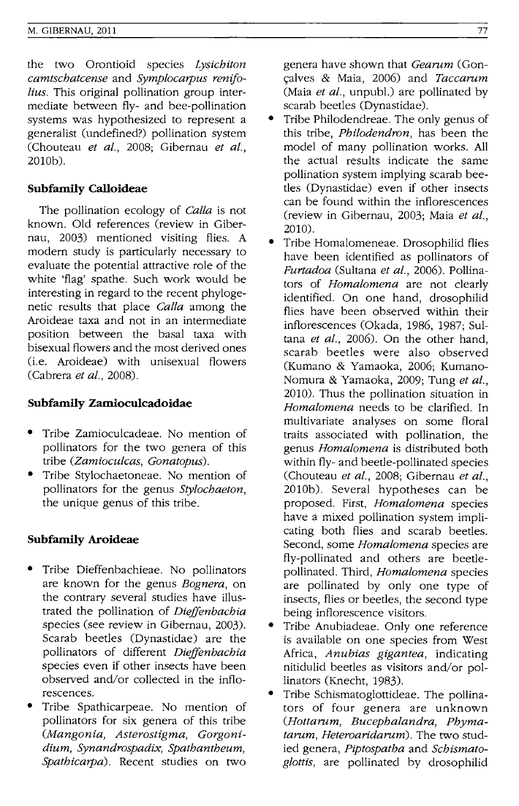the two Orontioid species *Lysichiton camtschatcense* and *Symplocarpus renifolius.* This original pollination group intermediate between fly- and bee-pollination systems was hypothesized to represent a generalist (undefined?) pollination system (Chouteau *et aI.,* 2008; Gibernau *et al.,*  2010b).

# **Subfamily Calloideae**

The pollination ecology of *Calla* is not known. Old references (review in Gibernau, 2003) mentioned visiting flies. A modern study is particularly necessary to evaluate the potential attractive role of the white 'flag' spathe. Such work would be interesting in regard to the recent phylogenetic results that place *Calla* among the Aroideae taxa and not in an intermediate position between the basal taxa with bisexual flowers and the most derived ones (i.e. Aroideae) with unisexual flowers (Cabrera *et at., 2008).* 

### **Subfamily Zamiocu1cadoidae**

- Tribe Zamioculcadeae. No mention of pollinators for the two genera of this tribe *(Zamiocutcas, Gonatopus).*
- Tribe Stylochaetoneae. No mention of pollinators for the genus *Stytochaeton,*  the unique genus of this tribe.

# **Subfamily Aroideae**

- Tribe Dieffenbachieae. No pollinators are known for the genus *Bognera,* on the contrary several studies have illustrated the pollination of *Dieffenbachia*  species (see review in Gibernau, 2003). Scarab beetles (Dynastidae) are the pollinators of different *Dieffenbachia*  species even if other insects have been observed and/or collected in the inflorescences.
- Tribe Spathicarpeae. No mention of pollinators for six genera of this tribe *(Mangonia, Asterostigma, Gorgonidium, Synandrospadix, Spathantheum, Spathicarpa).* Recent studies on two

genera have shown that *Gearum* (Gon- \;alves & Maia, 2006) and *Taccarum*  (Maia *et al.,* unpub!.) are pollinated by scarab beetles (Dynastidae).

- Tribe Philodendreae. The only genus of this tribe, *Philodendron,* has been the model of many pollination works. All the actual results indicate the same pollination system implying scarab beetles (Dynastidae) even if other insects can be found within the inflorescences (review in Gibernau, 2003; Maia *et al.,*  2010).
- Tribe Homalomeneae. Drosophilid flies have been identified as pollinators of *Furtadoa* (Sultana *et al.,* 2006). Pollinators of *Homalomena* are not clearly identified. On one hand, drosophilid flies have been observed within their inflorescences (Okada, 1986, 1987; Sultana *et at.,* 2006). On the other hand, scarab beetles were also observed (Kumano & Yamaoka, 2006; Kumano-Nomura & Yamaoka, 2009; Tung *et at.,*  2010). Thus the pollination situation in *Homalomena* needs to be clarified. In multivariate analyses on some floral traits associated with pollination, the genus *Homalomena* is distributed both within fly- and beetle-pollinated species (Chouteau *et al.,* 2008; Gibernau *et at.,*  2010b). Several hypotheses can be proposed. First, *Homatomena* species have a mixed pollination system implicating both flies and scarab beetles. Second, some *Homalomena* species are fly-pollinated and others are beetlepollinated. Third, *Homalomena* species are pollinated by only one type of insects, flies or beetles, the second type being inflorescence visitors.
- Tribe Anubiadeae. Only one reference is available on one species from West Africa, *Anubias gigantea,* indicating nitidulid beetles as visitors and/or pollinators (Knecht, 1983).
- Tribe Schismatoglottideae. The pollinators of four genera are unknown *(Hottarum, Bucephalandra, Phymatarum, Heteroaridarum).* The two studied genera, *Piptospatha* and *Schismatoglottis,* are pollinated by drosophilid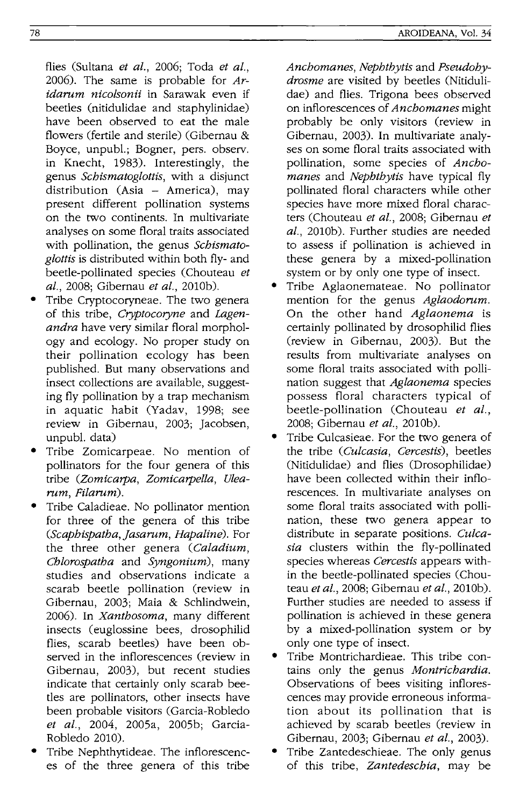flies (Sultana *et al.,* 2006; Toda *et al.,*  2006). The same is probable for *Aridarum nicolsonii* in Sarawak even if beetles (nitidulidae and staphylinidae) have been observed to eat the male flowers (fertile and sterile) (Gibemau & Boyce, unpub!.; Bogner, pers. observ. in Knecht, 1983). Interestingly, the genus *Scbismatoglottis,* with a disjunct distribution (Asia - America), may present different pollination systems on the two continents. In multivariate analyses on some floral traits associated with pollination, the genus *Scbismatoglottis* is distributed within both fly- and beetle-pollinated species (Chouteau *et al.,* 2008; Gibemau *et al.,* 2010b).

- Tribe Cryptocoryneae. The two genera of this tribe, *Cryptocoryne* and *Lagenandra* have very similar floral morphology and ecology. No proper study on their pollination ecology has been published. But many observations and insect collections are available, suggesting fly pollination by a trap mechanism in aquatic habit (Yadav, 1998; see review in Gibemau, 2003; Jacobsen, unpub!. data)
- Tribe Zomicarpeae. No mention of pollinators for the four genera of this tribe *(Zomicarpa, Zomicarpella, Ulearum, Filarum).*
- Tribe Caladieae. No pollinator mention for three of the genera of this tribe *(Scapbispatba,jasarum, Hapaline).* For the three other genera *(Caladium, Cblorospatba* and *Syngonium)*, many studies and observations indicate a scarab beetle pollination (review in Gibemau, 2003; Maia & Schlindwein, 2006). In *Xantbosoma,* many different insects (euglossine bees, drosophilid flies, scarab beetles) have been observed in the inflorescences (review in Gibemau, 2003), but recent studies indicate that certainly only scarab beetles are pollinators, other insects have been probable visitors (Garcia-Robledo *et al.,* 2004, 2005a, 2005b; Garcia-Robledo 2010).
- Tribe Nephthytideae. The inflorescences of the three genera of this tribe

*Ancbomanes, Nepbtbytis* and *Pseudobydrosme* are visited by beetles (Nitidulidae) and flies. Trigona bees observed on inflorescences of *Ancbomanes* might probably be only visitors (review in Gibemau, 2003). In multivariate analyses on some floral traits associated with pollination, some species of *Ancbomanes* and *Nepbtbytis* have typical fly pollinated floral characters while other species have more mixed floral characters (Chouteau *et al.,* 2008; Gibemau *et*  aI., 2010b). Further studies are needed to assess if pollination is achieved in these genera by a mixed-pollination system or by only one type of insect.

- Tribe Aglaonemateae. No pollinator mention for the genus *Ag/aodorum.*  On the other hand *Aglaonema* is certainly pollinated by drosophilid flies (review in Gibemau, 2003). But the results from multivariate analyses on some floral traits associated with pollination suggest that *Aglaonema* species possess floral characters typical of beetle-pollination (Chouteau *et a/.,*  2008; Gibemau *et al.,* 2010b).
- Tribe Culcasieae. For the two genera of the tribe *(Cutcasia, Cercestis)*, beetles (Nitidulidae) and flies (Drosophilidae) have been collected within their inflorescences. In multivariate analyses on some floral traits associated with pollination, these two genera appear to distribute in separate positions. *Cu/casia* clusters within the fly-pollinated species whereas *Cercestis* appears within the beetle-pollinated species (Chouteau *et at.,* 2008; Gibemau *et at.,* 2010b). Further studies are needed to assess if pollination is achieved in these genera by a mixed-pollination system or by only one type of insect.
- Tribe Montrichardieae. This tribe contains only the genus *Montricbardia.*  Observations of bees visiting inflorescences may provide erroneous information about its pollination that is achieved by scarab beetles (review in Gibemau, 2003; Gibemau *et at., 2003).*
- Tribe Zantedeschieae. The only genus of this tribe, *Zantedescbia,* may be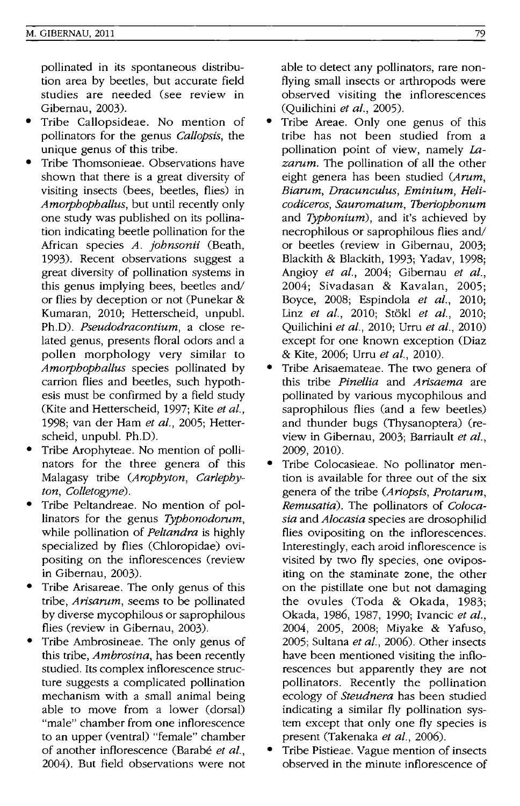pollinated in its spontaneous distribution area by beetles, but accurate field studies are needed (see review in Gibemau, 2003).

- Tribe Callopsideae. No mention of pollinators for the genus *Callopsis,* the unique genus of this tribe.
- Tribe Thomsonieae. Observations have shown that there is a great diversity of visiting insects (bees, beetles, flies) in *Amorpbopballus,* but until recently only one study was published on its pollination indicating beetle pollination for the African species *A. jobnsonii* (Beath, 1993). Recent observations suggest a great diversity of pollination systems in this genus implying bees, beetles and/ or flies by deception or not (Punekar & Kumaran, 2010; Hetterscheid, unpub!. Ph.D). *Pseudodracontium,* a close related genus, presents floral odors and a pollen morphology very similar to *Amorpbopballus* species pollinated by carrion flies and beetles, such hypothesis must be confirmed by a field study (Kite and Hetterscheid, 1997; Kite *et al.,*  1998; van der Ham *et al.,* 2005; Hetterscheid, unpub!. Ph.D).
- Tribe Arophyteae. No mention of pollinators for the three genera of this Malagasy tribe *(Aropbyton, Carlepbyton, Colletogyne).*
- Tribe Peltandreae. No mention of pollinators for the genus *Typbonodorum,*  while pollination of *Peltandra* is highly specialized by flies (Chloropidae) ovipositing on the inflorescences (review in Gibemau, 2003).
- Tribe Arisareae. The only genus of this tribe, *Arisarum,* seems to be pollinated by diverse mycophilous or saprophilous flies (review in Gibemau, 2003).
- Tribe Ambrosineae. The only genus of this tribe, *Ambrosina,* has been recently studied. Its complex inflorescence structure suggests a complicated pollination mechanism with a small animal being able to move from a lower (dorsal) "male" chamber from one inflorescence to an upper (ventral) "female" chamber of another inflorescence (Barabé et al., 2004). But field observations were not

able to detect any pollinators, rare nonflying small insects or arthropods were observed visiting the inflorescences (Quilichini *et al., 2005).* 

- Tribe Areae. Only one genus of this tribe has not been studied from a pollination point of view, namely La*zarum.* The pollination of all the other eight genera has been studied *(Arum, Biarum, Dracunculus, Eminium, Helicodiceros, Sauromatum, 7beriopbonum*  and *Typbonium),* and it's achieved by necrophilous or saprophilous flies and/ or beetles (review in Gibemau, 2003; Blackith & Blackith, 1993; Yadav, 1998; Angioy *et al.,* 2004; Gibemau *et aI.,*  2004; Sivadasan & Kavalan, 2005; Boyce, 2008; Espindola *et al., 2010;*  Linz *et al.,* 2010; St6kl *et al., 2010;*  Quilichini *et al.,* 2010; Urru *et al., 2010)*  except for one known exception (Diaz & Kite, 2006; Urru *et al., 2010).*
- Tribe Arisaemateae. The two genera of this tribe *Pinellia* and *Arisaema* are pollinated by various mycophilous and saprophilous flies (and a few beetles) and thunder bugs (Thysanoptera) (review in Gibemau, 2003; Barriault *et al.,*  2009, 2010).
- Tribe Colocasieae. No pollinator mention is available for three out of the six genera of the tribe *(Ariopsis, Protarum, Remusatia).* The pollinators of *Colocasia* and *Alocasia* species are drosophilid flies ovipositing on the inflorescences. Interestingly, each aroid inflorescence is visited by two fly species, one ovipositing on the staminate zone, the other on the pistillate one but not damaging the ovules (Toda & Okada, 1983; Okada, 1986, 1987, 1990; Ivancic *et al.,*  2004, 2005, 2008; Miyake & Yafuso, 2005; Sultana *et al.,* 2006). Other insects have been mentioned visiting the inflorescences but apparently they are not pollinators. Recently the pollination ecology of *Steudnera* has been studied indicating a similar fly pollination system except that only one fly species is present (Takenaka *et al., 2006).*
- Tribe Pistieae. Vague mention of insects observed in the minute inflorescence of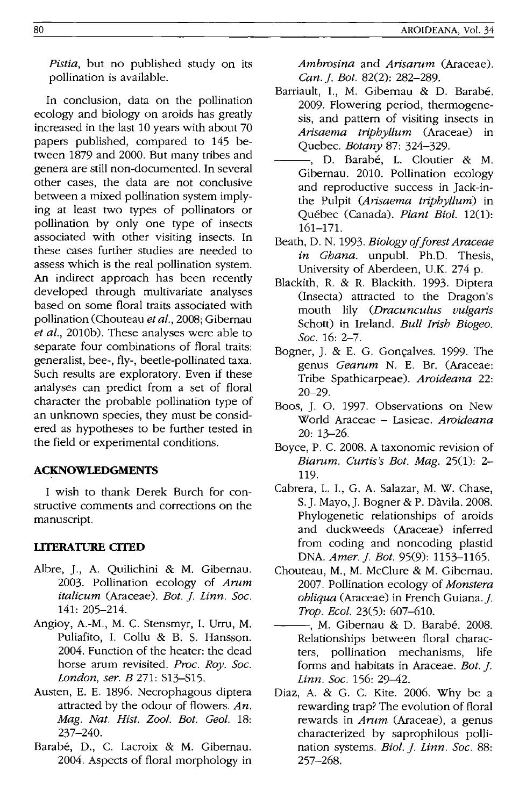*Pistia,* but no published study on its pollination is available.

In conclusion, data on the pollination ecology and biology on aroids has greatly increased in the last 10 years with about 70 papers published, compared to 145 between 1879 and 2000. But many tribes and genera are still non-documented. In several other cases, the data are not conclusive between a mixed pollination system implying at least two types of pollinators or pollination by only one type of insects associated with other visiting insects. In these cases further studies are needed to assess which is the real pollination system. An indirect approach has been recently developed through multivariate analyses based on some floral traits associated with pollination (Chouteau *et al.,* 2008; Gibernau et *al.*, 2010b). These analyses were able to separate four combinations of floral traits: generalist, bee-, fly-, beetle-pollinated taxa. Such results are exploratory. Even if these analyses can predict from a set of floral character the probable pollination type of an unknown species, they must be considered as hypotheses to be further tested in the field or experimental conditions.

# **ACKNOWLEDGMENTS**

I wish to thank Derek Burch for constructive comments and corrections on the manuscript.

# **LITERATURE CITED**

- Albre, ]., A. Quilichini & M. Gibernau. 2003. Pollination ecology of *Arum italicum* (Araceae). *Bot. J. Linn. Soc.* 141: 205-214.
- Angioy, A.-M., M. C. Stensmyr, I. Urru, M. Puliafito, I. Collu & B. S. Hansson. 2004. Function of the heater: the dead horse arum revisited. *Proc. Roy. Soc. London, ser. B* 271: S13-S15.
- Austen, E. E. 1896. Necrophagous diptera attracted by the odour of flowers. *An. Mag. Nat. Hist. Zool. Bot. Geo!. 18:*  237-240.
- Barabe, D., C. Lacroix & M. Gibernau. 2004. Aspects of floral morphology in

*Ambrosina* and *Arisarum* (Araceae). *Can .* .f. *Bot.* 82(2): 282-289.

- Barriault, I., M. Gibernau & D. Barabé. 2009. Flowering period, thermogenesis, and pattern of visiting insects in *Arisaema triphyllum* (Araceae) in Quebec. *Botany* 87: 324-329.
- -. D. Barabé, L. Cloutier & M. Gibernau. 2010. Pollination ecology and reproductive success in ]ack-inthe Pulpit *(Arisaema triphyllum)* in Quebec (Canada). *Plant Bioi. 12(1):*  161-171.
- Beath, D. N. 1993. *Biology afforest Araceae in Ghana.* unpubl. Ph.D. Thesis, University of Aberdeen, U.K. 274 p.
- Blackith, R. & R. Blackith. 1993. Diptera (Insecta) attracted to the Dragon's mouth lily *(Dracunculus vulgaris*  Schott) in Ireland. *Bull Irish Biogeo. Soc.* 16: 2-7.
- Bogner, J. & E. G. Goncalves. 1999. The genus *Gearum* N. E. Br. (Araceae: Tribe Spathicarpeae). *Aroideana* 22: 20-29.
- Boos, ]. O. 1997. Observations on New World Araceae - Lasieae. *Aroideana*  20: 13-26.
- Boyce, P. C. 2008. A taxonomic revision of *Biarum. Curtis's Bot. Mag.* 25(1): 2- 119.
- Cabrera, L. I., G. A. Salazar, M. W. Chase, S.]. Mayo,]. Bogner & P. Davila. 2008. Phylogenetic relationships of aroids and duckweeds (Araceae) inferred from coding and noncoding plastid DNA. *Amer. J. Bot.* 95(9): 1153-1165.
- Chouteau, M., M. McClure & M. Gibernau. 2007. Pollination ecology of *Monstera obliqua* (Araceae) in French Guiana.]. *Trap. Beol.* 23(5): 607-610.
- -, M. Gibernau & D. Barabé. 2008. Relationships between floral characters, pollination mechanisms, life forms and habitats in Araceae. *Bot. 1*. *Linn. Soc.* 156: 29-42.
- Diaz, A. & G. C. Kite. 2006. Why be a rewarding trap? The evolution of floral rewards in *Arum* (Araceae), a genus characterized by saprophilous pollination systems. *Biol. J. Linn. Soc.* 88: 257-268.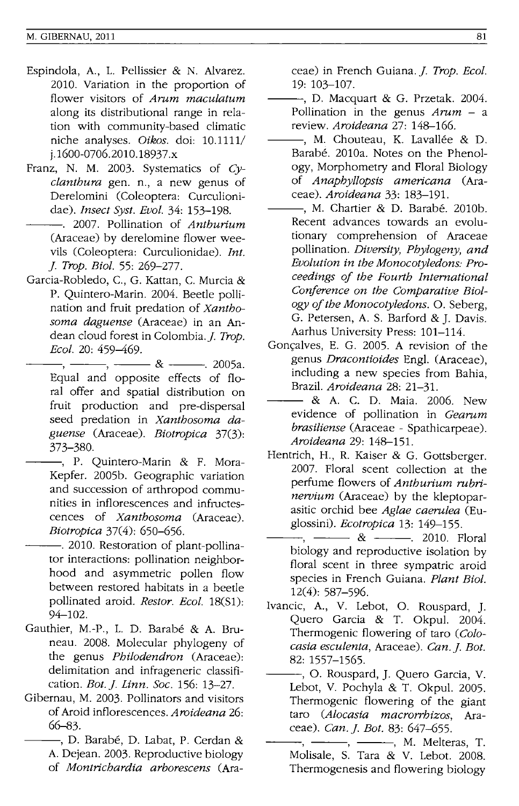- Espindola, A, L. Pellissier & N. Alvarez. 2010. Variation in the proportion of flower visitors of *Arum maculatum*  along its distributional range in relation with community-based climatic niche analyses. *Oikos.* doi: 10.1111/ j. 1600-0706.2010. 18937.x
- Franz, N. M. 2003. Systematics of *Cyclanthura* gen. n., a new genus of Derelomini (Coleoptera: Curculionidae). *Insect Syst. Evol.* 34: 153-198.
- ---. 2007. Pollination of *Anthurium*  (Araceae) by derelomine flower weevils (Coleoptera: Curculionidae). *Int.*  ]. *Trop. BioI.* 55: 269-277.
- Garcia-Robledo, c., G. Kattan, C. Murcia & P. Quintero-Marin. 2004. Beetle pollination and fruit predation of *Xanthosoma daguense* (Araceae) in an Andean cloud forest in Colombia. *J. Trop.*<br> *Ecol.* 20: 459–469.<br>
<u>Foual and conosite</u> of forts of fle *Beol.* 20: 459-469.
	- Equal and opposite effects of floral offer and spatial distribution on fruit production and pre-dispersal seed predation in *Xanthosoma daguense* (Araceae). *Biotropica* 37(3): 373-380.
	- -, P. Quintero-Marin & F. Mora-Kepfer. 2005b. Geographic variation and succession of arthropod communities in inflorescences and infructescences of *Xanthosoma* (Araceae). *Biotropica* 37(4): 650–656.
- -. 2010. Restoration of plant-pollinator interactions: pollination neighborhood and asymmetric pollen flow between restored habitats in a beetle pollinated aroid. *Restor. Ecol.* 18(S1): 94-102.
- Gauthier, M.-P., L. D. Barabé & A. Bruneau. 2008. Molecular phylogeny of the genus *Philodendron* (Araceae): delimitation and infrageneric classification. *Bot.]. Linn. Soc.* 156: 13-27.
- Gibernau, M. 2003. Pollinators and visitors of Aroid inflorescences. *Aroideana 26:*  66-83.
	- -, D. Barabé, D. Labat, P. Cerdan & A. Dejean. 2003. Reproductive biology of *Montrichardia arhorescens* (Ara-

ceae) in French Guiana.]. *Trop. Ecol.*  19: 103-107.

- ---, D. Macquart & G. Przetak. 2004. Pollination in the genus *Arum* - a review. *Aroideana* 27: 148-166.
- -, M. Chouteau, K. Lavallée & D. Barabé. 2010a. Notes on the Phenology, Morphometry and Floral Biology of *Anaphyllopsis americana* (Araceae). *Aroideana* 33: 183-191.
- -, M. Chartier & D. Barabé. 2010b. Recent advances towards an evolutionary comprehension of Araceae pollination. *Diversity, Phylogeny, and Evolution in the Monocotyledons: Proceedings of the Fourth International Conference on the Comparative Biology of the Monocotyledons.* O. Seberg, G. Petersen, A. S. Barford & J. Davis. Aarhus University Press: 101-114.
- Gonçalves, E. G. 2005. A revision of the genus *Dracontioides* Engl. (Araceae), including a new species from Bahia, Brazil. *Aroideana* 28: 21-31.
- & A. C. D. Maia. 2006. New evidence of pollination in *Gearum brasiliense* (Araceae - Spathicarpeae). *Aroideana* 29: 148-151.
- Hentrich, H., R. Kaiser & G. Gottsberger. 2007. Floral scent collection at the perfume flowers of *Anthurium rubrinervium* (Araceae) by the kleptoparasitic orchid bee *Aglae caerulea* (Euglossini). *Beotropica* 13: 149-155.
	- $-$ ,  $\&$   $-$  2010. Floral biology and reproductive isolation by floral scent in three sympatric aroid species in French Guiana. *Plant BioI.*  12(4): 587-596.
- Ivancic, A., V. Lebot, O. Rouspard, J. Quero Garcia & T. Okpul. 2004. Thermogenic flowering of taro *(Colocasia esculenta,* Araceae). *Can.]. Bot.*  82: 1557-1565.
- ---, O. Rouspard, J. Quero Garcia, V. Lebot, V. Pochyla & T. Okpul. 2005. Thermogenic flowering of the giant taro *(Alocasia macrorrhizos,* Araceae). *Can.]. Bot.* 83: 647-655.
- $-$ ,  $-$ ,  $-$ ,  $M$ . Melteras, T. Molisale, S. Tara & V. Lebot. 2008. Thermogenesis and flowering biology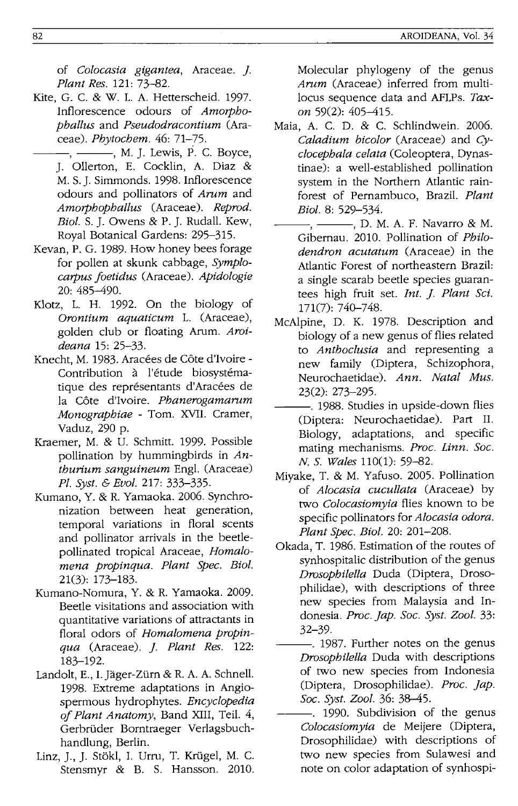of *Colocasia gigantea,* Araceae. ]. *Plant Res.* 121: 73-82.

- Kite, G. C. & W. 1. A. Hetterscheid. 1997. Inflorescence odours of *Amorphophallus* and *Pseudodracontium* (Araceae). *Phytochem.* 46: 71-75.
	- $-$ ,  $-$ , M. J. Lewis, P. C. Boyce, J. Ollerton, E. Cocklin, A. Diaz & M. S. J. Simmonds. 1998. Inflorescence odours and pollinators of *Arum* and *Amorphophallus* (Araceae). *Reprod. Bioi.* S. J. Owens & P. J. Rudall. Kew, Royal Botanical Gardens: 295-315.
- Kevan, P. G. 1989. How honey bees forage for pollen at skunk cabbage, *Symplocarpus foetidus* (Araceae). *Apidologie*  20: 485-490.
- Klotz, L. H. 1992. On the biology of *Orontium aquaticum* 1. (Araceae), golden club or floating Arum. *Aroideana* 15: 25-33.
- Knecht, M. 1983. Aracées de Côte d'Ivoire -Contribution à l'étude biosystématique des représentants d'Aracées de la Cote d'Ivoire. *Phanerogamarum Monographiae* - Tom. XVII. Cramer, Vaduz, 290 p.
- Kraemer, M. & U. Schmitt. 1999. Possible pollination by hummingbirds in *Anthurium sanguineum* Engl. (Araceae) *Pl. Syst.* & *Evol.* 217: 333-335.
- Kumano, Y. & R. Yamaoka. 2006. Synchronization between heat generation, temporal variations in floral scents and pollinator arrivals in the beetlepollinated tropical Araceae, *Homalomena propinqua. Plant Spec. Bioi.*  21(3): 173-183.
- Kumano-Nomura, Y. & R. Yamaoka. 2009. Beetle visitations and association with quantitative variations of attractants in floral odors of *Homalomena propinqua* (Araceae). ]. *Plant Res. 122:*  183-192.
- Landolt, E., I. Jäger-Zürn & R. A. A. Schnell. 1998. Extreme adaptations in Angiospermous hydrophytes. *Encyclopedia of Plant Anatomy,* Band XIII, Teil. 4, Gerbriider Borntraeger Verlagsbuchhandlung, Berlin.
- Linz, J., J. Stökl, I. Urru, T. Krügel, M. C. Stensmyr & B. S. Hansson. 2010.

Molecular phylogeny of the genus *Arum* (Araceae) inferred from multilocus sequence data and AFLPs. Tax*on* 59(2): 405-415.

- Maia, A. C. D. & C. Schlindwein. 2006. *Caladium bicolor* (Araceae) and *Cyclocephala celata* (Coleoptera, Dynastinae): a well-established pollination system in the Northern Atlantic rainforest of Pernambuco, Brazil. *Plant Bioi.* 8: 529-534.
- $-,-$ , D. M. A. F. Navarro & M. Gibernau. 2010. Pollination of *Philodendron acutatum* (Araceae) in the Atlantic Forest of northeastern Brazil: a single scarab beetle species guarantees high fruit set. *Int.* ]. *Plant Sci.*  171(7): 740-748.
- McAlpine, D. K. 1978. Description and biology of a new genus of flies related to *Anthoclusia* and representing a new family (Diptera, Schizophora, Neurochaetidae). *Ann. Natal Mus.*  23(2): 273-295.
- $-$ . 1988. Studies in upside-down flies (Diptera: Neurochaetidae). Part II. Biology, adaptations, and specific mating mechanisms. *Proc. Linn. Soc.*  N. S. *Wales* 110(1): 59-82.
- Miyake, T. & M. Yafuso. 2005. Pollination of *Alocasia cucullata* (Araceae) by two *Colocasiomyia* flies known to be specific pollinators for *Alocasia odora. Plant Spec. Bioi.* 20: 201-208.
- Okada, T. 1986. Estimation of the routes of synhospitalic distribution of the genus *Drosophilella* Duda (Diptera, Drosophilidae), with descriptions of three new species from Malaysia and Indonesia. *Proc. jap. Soc. Syst. Zool. 33:*  32-39.
- $-$ . 1987. Further notes on the genus *Drosophilella* Duda with descriptions of two new species from Indonesia (Diptera, Drosophilidae). *Proc. jap. Soc. Syst. Zool.* 36: 38-45.
- -. 1990. Subdivision of the genus *Colocasiomyia* de Meijere (Diptera, Drosophilidae) with descriptions of two new species from Sulawesi and note on color adaptation of synhospi-